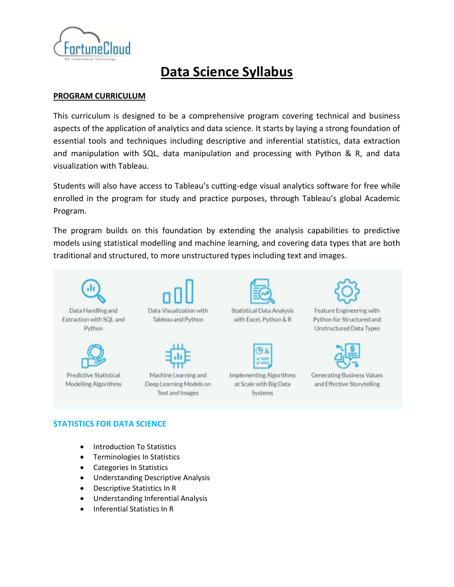

# **Data Science Syllabus**

## **PROGRAM CURRICULUM**

This curriculum is designed to be a comprehensive program covering technical and business aspects of the application of analytics and data science. It starts by laying a strong foundation of essential tools and techniques including descriptive and inferential statistics, data extraction and manipulation with SQL, data manipulation and processing with Python & R, and data visualization with Tableau.

Students will also have access to Tableau's cutting-edge visual analytics software for free while enrolled in the program for study and practice purposes, through Tableau's global Academic Program.

The program builds on this foundation by extending the analysis capabilities to predictive models using statistical modelling and machine learning, and covering data types that are both traditional and structured, to more unstructured types including text and images.



## **STATISTICS FOR DATA SCIENCE**

- Introduction To Statistics
- Terminologies In Statistics
- Categories In Statistics
- **•** Understanding Descriptive Analysis
- Descriptive Statistics In R
- Understanding Inferential Analysis
- Inferential Statistics In R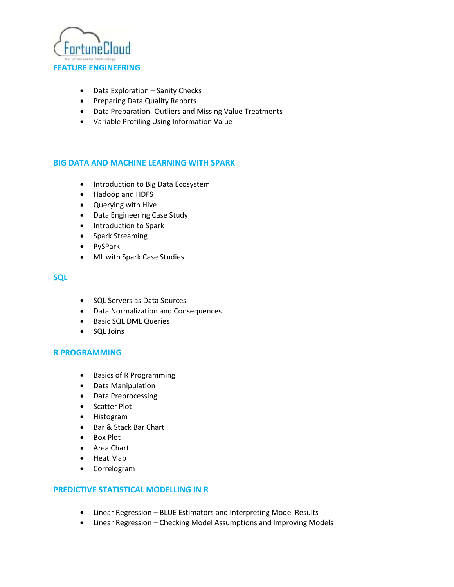

- Data Exploration Sanity Checks
- Preparing Data Quality Reports
- Data Preparation -Outliers and Missing Value Treatments
- Variable Profiling Using Information Value

## **BIG DATA AND MACHINE LEARNING WITH SPARK**

- Introduction to Big Data Ecosystem
- Hadoop and HDFS
- Querying with Hive
- Data Engineering Case Study
- Introduction to Spark
- Spark Streaming
- PySPark
- ML with Spark Case Studies

# **SQL**

- SQL Servers as Data Sources
- Data Normalization and Consequences
- Basic SQL DML Queries
- SQL Joins

## **R PROGRAMMING**

- Basics of R Programming
- Data Manipulation
- Data Preprocessing
- Scatter Plot
- Histogram
- Bar & Stack Bar Chart
- Box Plot
- Area Chart
- Heat Map
- Correlogram

# **PREDICTIVE STATISTICAL MODELLING IN R**

- Linear Regression BLUE Estimators and Interpreting Model Results
- Linear Regression Checking Model Assumptions and Improving Models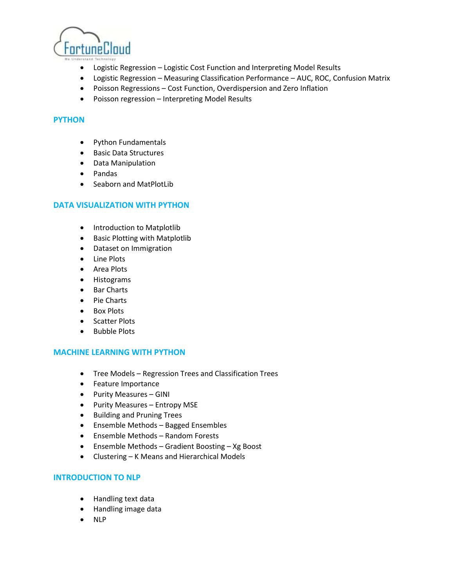

- Logistic Regression Logistic Cost Function and Interpreting Model Results
- Logistic Regression Measuring Classification Performance AUC, ROC, Confusion Matrix
- Poisson Regressions Cost Function, Overdispersion and Zero Inflation
- Poisson regression Interpreting Model Results

# **PYTHON**

- Python Fundamentals
- **•** Basic Data Structures
- Data Manipulation
- Pandas
- Seaborn and MatPlotLib

# **DATA VISUALIZATION WITH PYTHON**

- Introduction to Matplotlib
- Basic Plotting with Matplotlib
- Dataset on Immigration
- Line Plots
- Area Plots
- Histograms
- Bar Charts
- Pie Charts
- Box Plots
- Scatter Plots
- Bubble Plots

## **MACHINE LEARNING WITH PYTHON**

- Tree Models Regression Trees and Classification Trees
- Feature Importance
- Purity Measures GINI
- Purity Measures Entropy MSE
- **•** Building and Pruning Trees
- Ensemble Methods Bagged Ensembles
- Ensemble Methods Random Forests
- Ensemble Methods Gradient Boosting Xg Boost
- Clustering K Means and Hierarchical Models

## **INTRODUCTION TO NLP**

- Handling text data
- Handling image data
- NLP